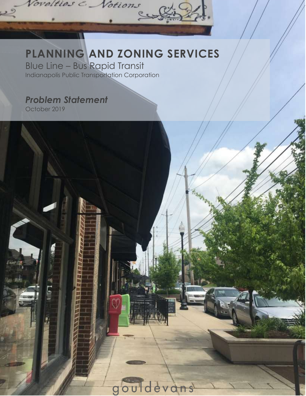# **PLANNING AND ZONING SERVICES**

Votions

Blue Line – Bus Rapid Transit Indianapolis Public Transportation Corporation

٠

### *Problem Statement* October 2019

ovelties

**Blue Line TOD – Problem Statement**

gouldevans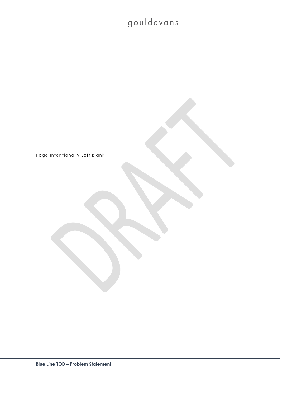## gouldevans

Page Intentionally Left Blank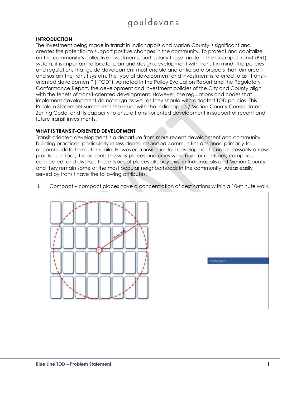### **INTRODUCTION**

The investment being made in transit in Indianapolis and Marion County is significant and creates the potential to support positive changes in the community. To protect and capitalize on the community's collective investments, particularly those made in the bus rapid transit (BRT) system, it is important to locate, plan and design development with transit in mind. The policies and regulations that guide development must enable and anticipate projects that reinforce and sustain the transit system. This type of development and investment is referred to as "transitoriented development" ("TOD"). As noted in the Policy Evaluation Report and the Regulatory Conformance Report, the development and investment policies of the City and County align with the tenets of transit-oriented development. However, the regulations and codes that implement development do not align as well as they should with adopted TOD policies. This Problem Statement summarizes the issues with the Indianapolis / Marion County Consolidated Zoning Code, and its capacity to ensure transit-oriented development in support of recent and future transit investments.

#### **WHAT IS TRANSIT-ORIENTED DEVELOPMENT**

Transit-oriented development is a departure from more recent development and community building practices, particularly in less-dense, dispersed communities designed primarily to accommodate the automobile. However, transit-oriented development is not necessarily a new practice. In fact, it represents the way places and cities were built for centuries; compact, connected, and diverse. These types of places already exist in Indianapolis and Marion County, and they remain some of the most popular neighborhoods in the community. Areas easily served by transit have the following attributes:

I. Compact – compact places have a concentration of destinations within a 10-minute walk.



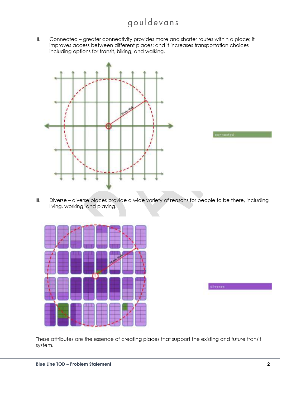II. Connected – greater connectivity provides more and shorter routes within a place; it improves access between different places; and it increases transportation choices including options for transit, biking, and walking.



III. Diverse – diverse places provide a wide variety of reasons for people to be there, including living, working, and playing.



These attributes are the essence of creating places that support the existing and future transit system.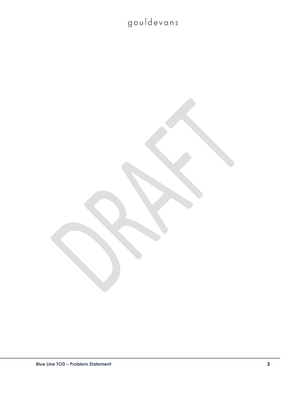## gouldevans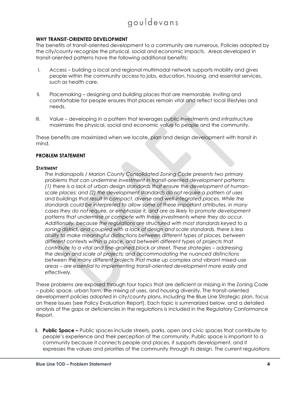### **WHY TRANSIT-ORIENTED DEVELOPMENT**

The benefits of transit-oriented development to a community are numerous. Policies adopted by the city/county recognize the physical, social and economic impacts. Areas developed in transit-oriented patterns have the following additional benefits:

- I. Access building a local and regional multimodal network supports mobility and gives people within the community access to jobs, education, housing, and essential services, such as health care.
- II. Placemaking designing and building places that are memorable, inviting and comfortable for people ensures that places remain vital and reflect local lifestyles and needs.
- III. Value developing in a pattern that leverages public investments and infrastructure maximizes the physical, social and economic value to people and the community.

These benefits are maximized when we locate, plan and design development with transit in mind.

#### **PROBLEM STATEMENT**

#### *STATEMENT*

*The Indianapolis / Marion County Consolidated Zoning Code presents two primary problems that can undermine investment in transit-oriented development patterns: (1) there is a lack of urban design standards that ensure the development of humanscale places; and (2) the development standards do not require a pattern of uses and buildings that result in compact, diverse and well-integrated places. While the standards could be interpreted to allow some of these important attributes, in many cases they do not require, or emphasize it, and are as likely to promote development patterns that undermine or compete with these investments where they do occur. Additionally, because the regulations are structured with most standards keyed to a zoning district, and coupled with a lack of design and scale standards, there is less ability to make meaningful distinctions between different types of places, between*  different contexts within a place, and between different types of projects that *contribute to a vital and fine-grained block or street. These strategies – addressing the design and scale of projects; and accommodating the nuanced distinctions between the many different projects that make up complex and vibrant mixed-use areas – are essential to implementing transit-oriented development more easily and effectively.* 

These problems are exposed through four topics that are deficient or missing in the Zoning Code – public space, urban form, the mixing of uses, and housing diversity. The transit-oriented development policies adopted in city/county plans, including the Blue Line Strategic plan, focus on these issues (see Policy Evaluation Report). Each topic is summarized below, and a detailed analysis of the gaps or deficiencies in the regulations is included in the Regulatory Conformance Report.

**I. Public Space –** Public spaces include streets, parks, open and civic spaces that contribute to people's experience and their perception of the community. Public space is important to a community because it connects people and places, it supports development, and it expresses the values and priorities of the community through its design. The current regulations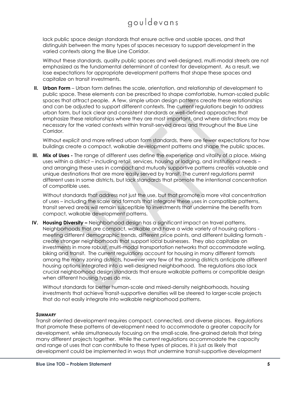lack public space design standards that ensure active and usable spaces, and that distinguish between the many types of spaces necessary to support development in the varied contexts along the Blue Line Corridor.

Without these standards, quality public spaces and well-designed, multi-modal streets are not emphasized as the fundamental determinant of context for development. As a result, we lose expectations for appropriate development patterns that shape these spaces and capitalize on transit investments.

**II. Urban Form** – Urban form defines the scale, orientation, and relationship of development to public space. These elements can be prescribed to shape comfortable, human-scaled public spaces that attract people. A few, simple urban design patterns create these relationships and can be adjusted to support different contexts. The current regulations begin to address urban form, but lack clear and consistent standards or well-defined approaches that emphasize these relationships where they are most important, and where distinctions may be necessary for the varied contexts within transit-served areas and throughout the Blue Line Corridor.

Without explicit and more refined urban form standards, there are fewer expectations for how buildings create a compact, walkable development patterns and shape the public spaces.

**III. Mix of Uses -** The range of different uses define the experience and vitality of a place. Mixing uses within a district – including retail, services, housing or lodging, and institutional needs – and arranging these uses in compact and mutually supportive patterns creates valuable and unique destinations that are more easily served by transit. The current regulations permit different uses in some districts, but lack standards that promote the intentional concentration of compatible uses.

Without standards that address not just the use, but that promote a more vital concentration of uses – including the scale and formats that integrate these uses in compatible patterns, transit served areas will remain susceptible to investments that undermine the benefits from compact, walkable development patterns.

**IV. Housing Diversity –** Neighborhood design has a significant impact on travel patterns. Neighborhoods that are compact, walkable and have a wide variety of housing options meeting different demographic trends, different price points, and different building formats create stronger neighborhoods that support local businesses. They also capitalize on investments in more robust, multi-modal transportation networks that accommodate waling, biking and transit. The current regulations account for housing in many different formats among the many zoning districts, however very few of the zoning districts anticipate different housing options integrated into a well-designed neighborhood. The regulations also lack crucial neighborhood design standards that ensure walkable patterns or compatible design when different housing types do mix.

Without standards for better human-scale and mixed-density neighborhoods, housing investments that achieve transit-supportive densities will be steered to larger-scale projects that do not easily integrate into walkable neighborhood patterns.

#### *SUMMARY*

Transit oriented development requires compact, connected, and diverse places. Regulations that promote these patterns of development need to accommodate a greater capacity for development, while simultaneously focusing on the small-scale, fine-grained details that bring many different projects together. While the current regulations accommodate the capacity and range of uses that can contribute to these types of places, it is just as likely that development could be implemented in ways that undermine transit-supportive development